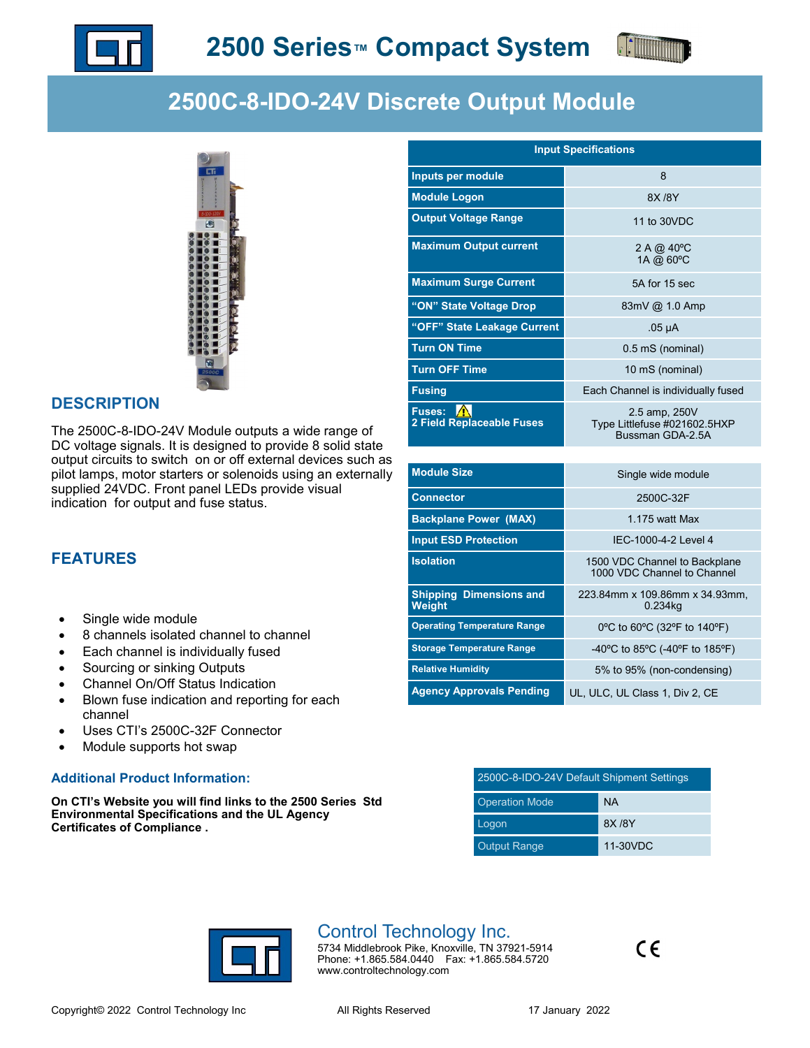



# **2500C-8-IDO-24V Discrete Output Module**



#### **DESCRIPTION**

The 2500C-8-IDO-24V Module outputs a wide range of DC voltage signals. It is designed to provide 8 solid state output circuits to switch on or off external devices such as pilot lamps, motor starters or solenoids using an externally supplied 24VDC. Front panel LEDs provide visual indication for output and fuse status.

### **FEATURES**

- Single wide module
- 8 channels isolated channel to channel
- Each channel is individually fused
- Sourcing or sinking Outputs
- Channel On/Off Status Indication
- Blown fuse indication and reporting for each channel
- Uses CTI's 2500C-32F Connector
- Module supports hot swap

#### **Additional Product Information:**

**On CTI's Website you will find links to the 2500 Series Std Environmental Specifications and the UL Agency Certificates of Compliance .**

| <b>Input Specifications</b>                |                                                                   |  |  |  |
|--------------------------------------------|-------------------------------------------------------------------|--|--|--|
| Inputs per module                          | 8                                                                 |  |  |  |
| <b>Module Logon</b>                        | 8X / 8Y                                                           |  |  |  |
| <b>Output Voltage Range</b>                | 11 to 30VDC                                                       |  |  |  |
| <b>Maximum Output current</b>              | 2 A @ 40°C<br>1A @ 60°C                                           |  |  |  |
| <b>Maximum Surge Current</b>               | 5A for 15 sec                                                     |  |  |  |
| "ON" State Voltage Drop                    | 83mV @ 1.0 Amp                                                    |  |  |  |
| "OFF" State Leakage Current                | $.05 \mu A$                                                       |  |  |  |
| <b>Turn ON Time</b>                        | 0.5 mS (nominal)                                                  |  |  |  |
| <b>Turn OFF Time</b>                       | 10 mS (nominal)                                                   |  |  |  |
| <b>Fusing</b>                              | Each Channel is individually fused                                |  |  |  |
| <b>Fuses:</b><br>2 Field Replaceable Fuses | 2.5 amp, 250V<br>Type Littlefuse #021602.5HXP<br>Bussman GDA-2.5A |  |  |  |

| <b>Module Size</b>                       | Single wide module                                           |
|------------------------------------------|--------------------------------------------------------------|
| <b>Connector</b>                         | 2500C-32F                                                    |
| <b>Backplane Power (MAX)</b>             | 1.175 watt Max                                               |
| <b>Input ESD Protection</b>              | IFC-1000-4-2 Level 4                                         |
| <b>Isolation</b>                         | 1500 VDC Channel to Backplane<br>1000 VDC Channel to Channel |
| <b>Shipping Dimensions and</b><br>Weight | 223.84mm x 109.86mm x 34.93mm,<br>0.234kg                    |
| <b>Operating Temperature Range</b>       | 0°C to 60°C (32°F to 140°F)                                  |
| <b>Storage Temperature Range</b>         | -40°C to 85°C (-40°F to 185°F)                               |
| <b>Relative Humidity</b>                 | 5% to 95% (non-condensing)                                   |
| <b>Agency Approvals Pending</b>          | UL, ULC, UL Class 1, Div 2, CE                               |

| 2500C-8-IDO-24V Default Shipment Settings |           |  |  |  |
|-------------------------------------------|-----------|--|--|--|
| <b>Operation Mode</b>                     | <b>NA</b> |  |  |  |
| Logon                                     | 8X / 8Y   |  |  |  |
| <b>Output Range</b>                       | 11-30VDC  |  |  |  |



## Control Technology Inc.

5734 Middlebrook Pike, Knoxville, TN 37921-5914 Phone: +1.865.584.0440 Fax: +1.865.584.5720 www.controltechnology.com

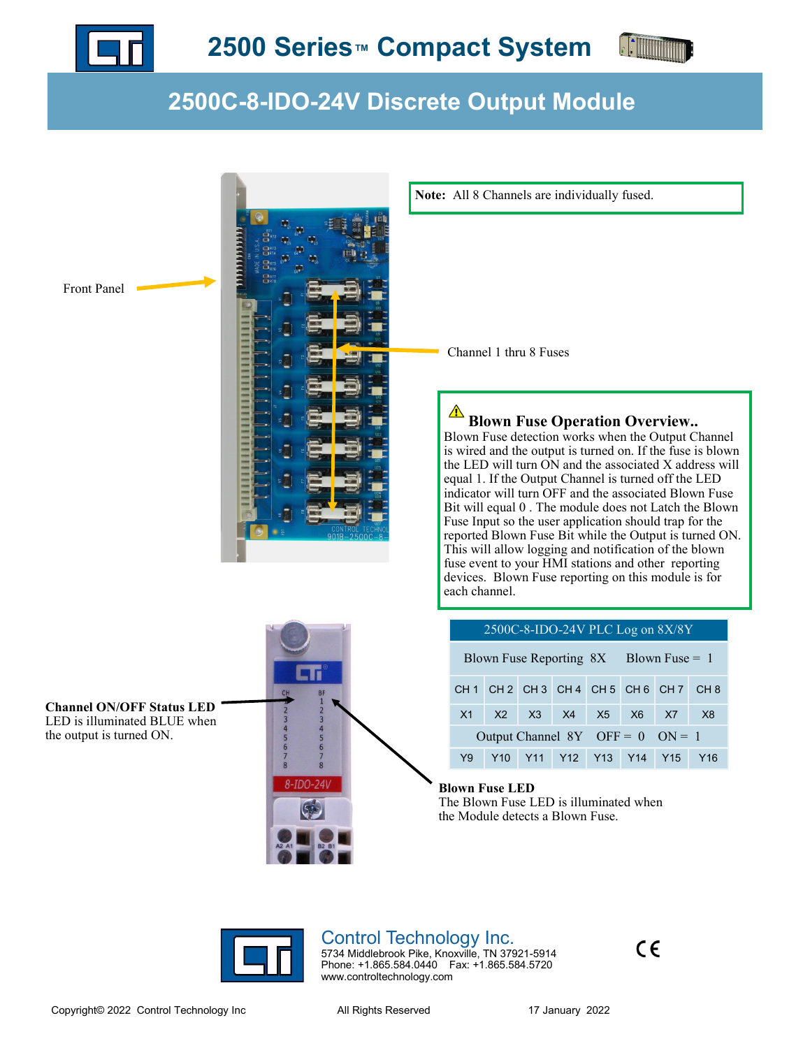



# **2500C-8-IDO-24V Discrete Output Module**



**Note:** All 8 Channels are individually fused.

Channel 1 thru 8 Fuses

### **Blown Fuse Operation Overview..**

Blown Fuse detection works when the Output Channel is wired and the output is turned on. If the fuse is blown the LED will turn ON and the associated X address will equal 1. If the Output Channel is turned off the LED indicator will turn OFF and the associated Blown Fuse Bit will equal 0 . The module does not Latch the Blown Fuse Input so the user application should trap for the reported Blown Fuse Bit while the Output is turned ON. This will allow logging and notification of the blown fuse event to your HMI stations and other reporting devices. Blown Fuse reporting on this module is for

| 2500C-8-IDO-24V PLC Log on 8X/8Y         |  |                   |  |  |  |                                 |                 |
|------------------------------------------|--|-------------------|--|--|--|---------------------------------|-----------------|
| Blown Fuse Reporting $8X$ Blown Fuse = 1 |  |                   |  |  |  |                                 |                 |
|                                          |  |                   |  |  |  | CH1 CH2 CH3 CH4 CH5 CH6 CH7 CH8 |                 |
| X1                                       |  | X2 X3 X4 X5 X6 X7 |  |  |  |                                 | X <sub>8</sub>  |
| Output Channel $8Y$ OFF = 0 ON = 1       |  |                   |  |  |  |                                 |                 |
| Y9                                       |  |                   |  |  |  | Y10 Y11 Y12 Y13 Y14 Y15         | Y <sub>16</sub> |

#### **Blown Fuse LED**

The Blown Fuse LED is illuminated when the Module detects a Blown Fuse.



## Control Technology Inc.

5734 Middlebrook Pike, Knoxville, TN 37921-5914 Phone: +1.865.584.0440 Fax: +1.865.584.5720 www.controltechnology.com